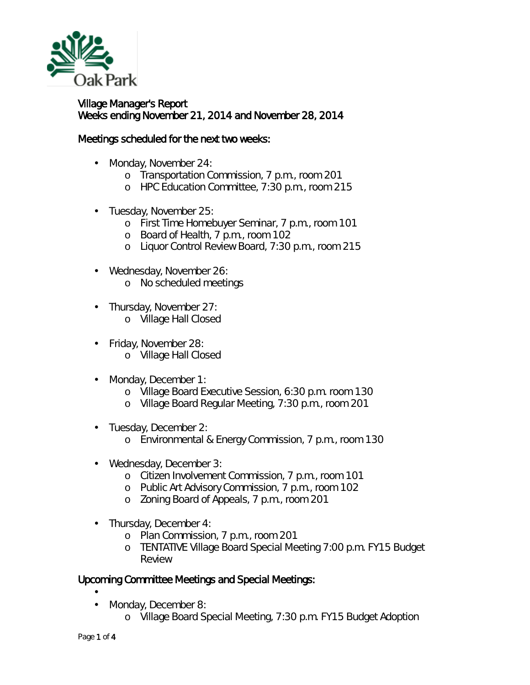

Village Manager's Report Weeks ending November 21, 2014 and November 28, 2014

## Meetings scheduled for the next two weeks:

- Monday, November 24: ä,
	- o Transportation Commission, 7 p.m., room 201
	- o HPC Education Committee, 7:30 p.m., room 215
- Tuesday, November 25:  $\mathbf{r}$ 
	- o First Time Homebuyer Seminar, 7 p.m., room 101
	- o Board of Health, 7 p.m., room 102
	- o Liquor Control Review Board, 7:30 p.m., room 215
- Wednesday, November 26:
	- o No scheduled meetings
- Thursday, November 27: L.
	- o Village Hall Closed
- Friday, November 28: ä,
	- o Village Hall Closed
- J. Monday, December 1:
	- o Village Board Executive Session, 6:30 p.m. room 130
	- o Village Board Regular Meeting, 7:30 p.m., room 201
- Tuesday, December 2: t,
	- o Environmental & Energy Commission, 7 p.m., room 130
- Wednesday, December 3: ÷.
	- o Citizen Involvement Commission, 7 p.m., room 101
	- o Public Art Advisory Commission, 7 p.m., room 102
	- o Zoning Board of Appeals, 7 p.m., room 201
- Thursday, December 4: ä,
	- o Plan Commission, 7 p.m., room 201
	- o TENTATIVE Village Board Special Meeting 7:00 p.m. FY15 Budget Review

## Upcoming Committee Meetings and Special Meetings:

- Monday, December 8:
	- o Village Board Special Meeting, 7:30 p.m. FY15 Budget Adoption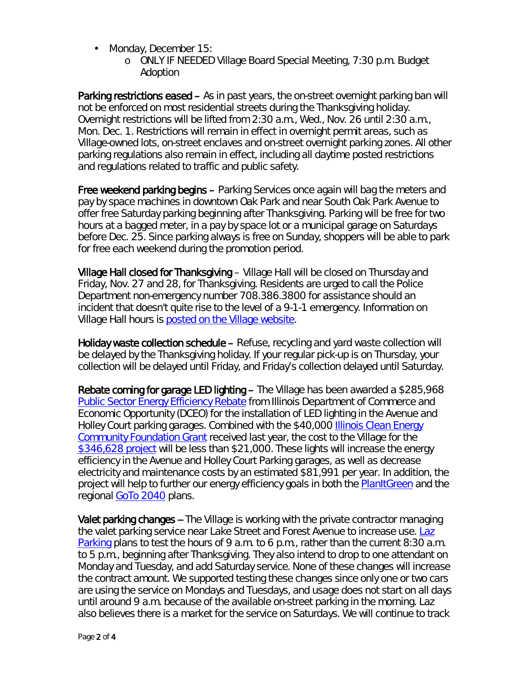- l, Monday, December 15:
	- o ONLY IF NEEDED Village Board Special Meeting, 7:30 p.m. Budget Adoption

Parking restrictions eased – As in past years, the on-street overnight parking ban will not be enforced on most residential streets during the Thanksgiving holiday. Overnight restrictions will be lifted from 2:30 a.m., Wed., Nov. 26 until 2:30 a.m., Mon. Dec. 1. Restrictions will remain in effect in overnight permit areas, such as Village-owned lots, on-street enclaves and on-street overnight parking zones. All other parking regulations also remain in effect, including all daytime posted restrictions and regulations related to traffic and public safety.

Free weekend parking begins – Parking Services once again will bag the meters and pay by space machines in downtown Oak Park and near South Oak Park Avenue to offer free Saturday parking beginning after Thanksgiving. Parking will be free for two hours at a bagged meter, in a pay by space lot or a municipal garage on Saturdays before Dec. 25. Since parking always is free on Sunday, shoppers will be able to park for free each weekend during the promotion period.

Village Hall closed for Thanksgiving – Village Hall will be closed on Thursday and Friday, Nov. 27 and 28, for Thanksgiving. Residents are urged to call the Police Department non-emergency number 708.386.3800 for assistance should an incident that doesn't quite rise to the level of a 9-1-1 emergency. Information on Village Hall hours is [posted on the Village website.](http://www.oak-park.us/your-government/village-manager/village-hall)

Holiday waste collection schedule – Refuse, recycling and yard waste collection will be delayed by the Thanksgiving holiday. If your regular pick-up is on Thursday, your collection will be delayed until Friday, and Friday's collection delayed until Saturday.

Rebate coming for garage LED lighting – The Village has been awarded a \$285,968 [Public Sector Energy Efficiency Rebate](http://www.dsireusa.org/incentives/incentive.cfm?Incentive_Code=IL62F&re=0&ee=0) from Illinois Department of Commerce and Economic Opportunity (DCEO) for the installation of LED lighting in the Avenue and Holley Court parking garages. Combined with the \$40,000 [Illinois Clean Energy](http://www.illinoiscleanenergy.org/)  [Community Foundation Grant](http://www.illinoiscleanenergy.org/) received last year, the cost to the Village for the [\\$346,628 project](http://oak-park.granicus.com/MetaViewer.php?view_id=4&clip_id=435&meta_id=16875) will be less than \$21,000. These lights will increase the energy efficiency in the Avenue and Holley Court Parking garages, as well as decrease electricity and maintenance costs by an estimated \$81,991 per year. In addition, the project will help to further our energy efficiency goals in both the **PlanItGreen** and the regional [GoTo 2040](http://www.cmap.illinois.gov/about/2040) plans.

Valet parking changes -- The Village is working with the private contractor managing the valet parking service near Lake Street and Forest Avenue to increase use. Laz [Parking](http://www.lazparking.com/) plans to test the hours of 9 a.m. to 6 p.m., rather than the current 8:30 a.m. to 5 p.m., beginning after Thanksgiving. They also intend to drop to one attendant on Monday and Tuesday, and add Saturday service. None of these changes will increase the contract amount. We supported testing these changes since only one or two cars are using the service on Mondays and Tuesdays, and usage does not start on all days until around 9 a.m. because of the available on-street parking in the morning. Laz also believes there is a market for the service on Saturdays. We will continue to track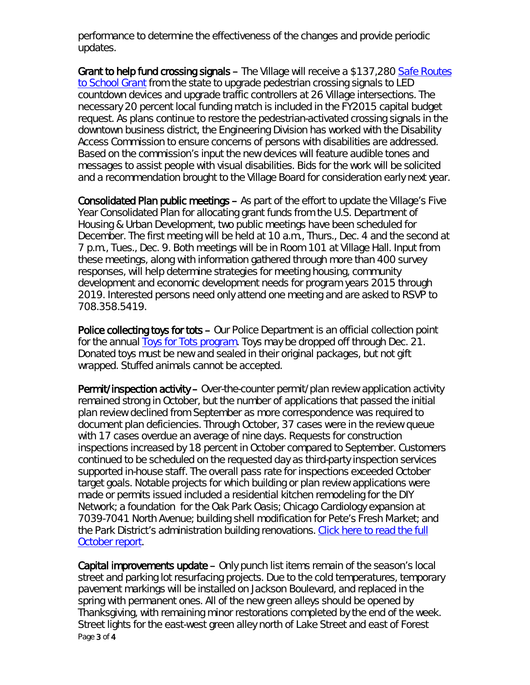performance to determine the effectiveness of the changes and provide periodic updates.

Grant to help fund crossing signals – The Village will receive a \$137,280 *[Safe Routes](http://saferoutespartnership.org/state/srts-in-your-state/illinois)  [to School Grant](http://saferoutespartnership.org/state/srts-in-your-state/illinois)* from the state to upgrade pedestrian crossing signals to LED countdown devices and upgrade traffic controllers at 26 Village intersections. The necessary 20 percent local funding match is included in the FY2015 capital budget request. As plans continue to restore the pedestrian-activated crossing signals in the downtown business district, the Engineering Division has worked with the Disability Access Commission to ensure concerns of persons with disabilities are addressed. Based on the commission's input the new devices will feature audible tones and messages to assist people with visual disabilities. Bids for the work will be solicited and a recommendation brought to the Village Board for consideration early next year.

Consolidated Plan public meetings – As part of the effort to update the Village's Five Year Consolidated Plan for allocating grant funds from the U.S. Department of Housing & Urban Development, two public meetings have been scheduled for December. The first meeting will be held at 10 a.m., Thurs., Dec. 4 and the second at 7 p.m., Tues., Dec. 9. Both meetings will be in Room 101 at Village Hall. Input from these meetings, along with information gathered through more than 400 survey responses, will help determine strategies for meeting housing, community development and economic development needs for program years 2015 through 2019. Interested persons need only attend one meeting and are asked to RSVP to 708.358.5419.

Police collecting toys for tots – Our Police Department is an official collection point for the annual **Toys for Tots program**. Toys may be dropped off through Dec. 21. Donated toys must be new and sealed in their original packages, but not gift wrapped. Stuffed animals cannot be accepted.

Permit/inspection activity – Over-the-counter permit/plan review application activity remained strong in October, but the number of applications that passed the initial plan review declined from September as more correspondence was required to document plan deficiencies. Through October, 37 cases were in the review queue with 17 cases overdue an average of nine days. Requests for construction inspections increased by 18 percent in October compared to September. Customers continued to be scheduled on the requested day as third-party inspection services supported in-house staff. The overall pass rate for inspections exceeded October target goals. Notable projects for which building or plan review applications were made or permits issued included a residential kitchen remodeling for the DIY Network; a foundation for the Oak Park Oasis; Chicago Cardiology expansion at 7039-7041 North Avenue; building shell modification for Pete's Fresh Market; and the Park District's administration building renovations. Click here to read the full [October](http://www.oak-park.us/sites/default/files/456678891/2014-october-building-activity-report.pdf) report.

Page 3 of 4 Capital improvements update – Only punch list items remain of the season's local street and parking lot resurfacing projects. Due to the cold temperatures, temporary pavement markings will be installed on Jackson Boulevard, and replaced in the spring with permanent ones. All of the new green alleys should be opened by Thanksgiving, with remaining minor restorations completed by the end of the week. Street lights for the east-west green alley north of Lake Street and east of Forest